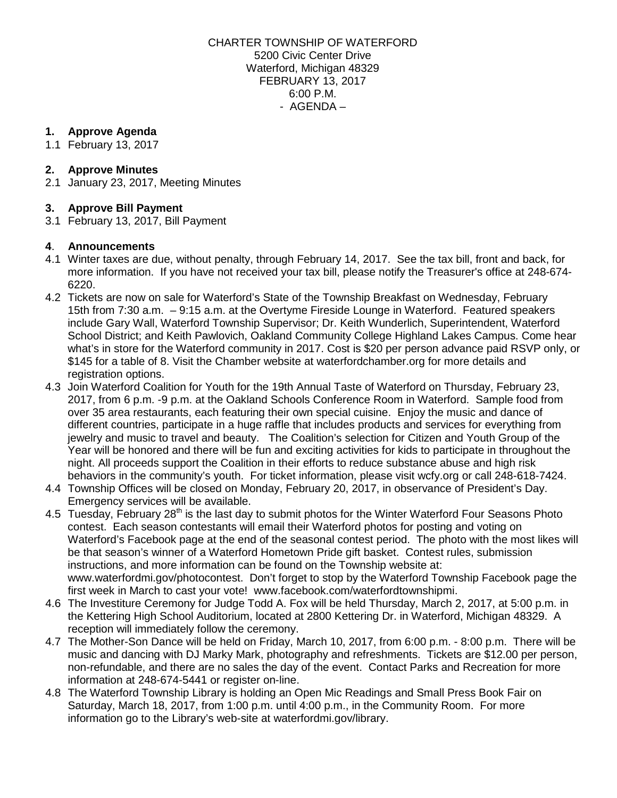CHARTER TOWNSHIP OF WATERFORD 5200 Civic Center Drive Waterford, Michigan 48329 FEBRUARY 13, 2017 6:00 P.M. - AGENDA –

### **1. Approve Agenda**

1.1 February 13, 2017

# **2. Approve Minutes**

2.1 January 23, 2017, Meeting Minutes

# **3. Approve Bill Payment**

3.1 February 13, 2017, Bill Payment

### **4**. **Announcements**

- 4.1 Winter taxes are due, without penalty, through February 14, 2017. See the tax bill, front and back, for more information. If you have not received your tax bill, please notify the Treasurer's office at 248-674- 6220.
- 4.2 Tickets are now on sale for Waterford's State of the Township Breakfast on Wednesday, February 15th from 7:30 a.m. – 9:15 a.m. at the Overtyme Fireside Lounge in Waterford. Featured speakers include Gary Wall, Waterford Township Supervisor; Dr. Keith Wunderlich, Superintendent, Waterford School District; and Keith Pawlovich, Oakland Community College Highland Lakes Campus. Come hear what's in store for the Waterford community in 2017. Cost is \$20 per person advance paid RSVP only, or \$145 for a table of 8. Visit the Chamber website at [waterfordchamber.org](http://www.waterfordchamber.org/) for more details and registration options.
- 4.3 Join Waterford Coalition for Youth for the 19th Annual Taste of Waterford on Thursday, February 23, 2017, from 6 p.m. -9 p.m. at the Oakland Schools Conference Room in Waterford. Sample food from over 35 area restaurants, each featuring their own special cuisine. Enjoy the music and dance of different countries, participate in a huge raffle that includes products and services for everything from jewelry and music to travel and beauty. The Coalition's selection for Citizen and Youth Group of the Year will be honored and there will be fun and exciting activities for kids to participate in throughout the night. All proceeds support the Coalition in their efforts to reduce substance abuse and high risk behaviors in the community's youth. For ticket information, please visit [wcfy.org](http://www.wcfy.org/) or call 248-618-7424.
- 4.4 Township Offices will be closed on Monday, February 20, 2017, in observance of President's Day. Emergency services will be available.
- 4.5 Tuesday, February 28<sup>th</sup> is the last day to submit photos for the Winter Waterford Four Seasons Photo contest. Each season contestants will email their Waterford photos for posting and voting on Waterford's Facebook page at the end of the seasonal contest period. The photo with the most likes will be that season's winner of a Waterford Hometown Pride gift basket. Contest rules, submission instructions, and more information can be found on the Township website at: [www.waterfordmi.gov/photocontest.](http://www.waterfordmi.gov/photocontest) Don't forget to stop by the Waterford Township Facebook page the first week in March to cast your vote! [www.facebook.com/waterfordtownshipmi.](http://www.facebook.com/waterfordtownshipmi)
- 4.6 The Investiture Ceremony for Judge Todd A. Fox will be held Thursday, March 2, 2017, at 5:00 p.m. in the Kettering High School Auditorium, located at 2800 Kettering Dr. in Waterford, Michigan 48329. A reception will immediately follow the ceremony.
- 4.7 The Mother-Son Dance will be held on Friday, March 10, 2017, from 6:00 p.m. 8:00 p.m. There will be music and dancing with DJ Marky Mark, photography and refreshments. Tickets are \$12.00 per person, non-refundable, and there are no sales the day of the event. Contact Parks and Recreation for more information at 248-674-5441 or register [on-line.](http://webtrac.twp.waterford.mi.us/wbwsc/webtrac.wsc/wbsplash.html?wbp=1)
- 4.8 The Waterford Township Library is holding an Open Mic Readings and Small Press Book Fair on Saturday, March 18, 2017, from 1:00 p.m. until 4:00 p.m., in the Community Room. For more information go to the Library's web-site at [waterfordmi.gov/library.](http://www.waterfordmi.gov/library)